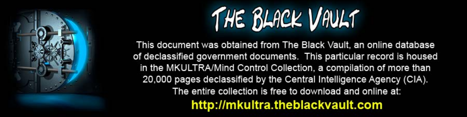

This document was obtained from The Black Vault, an online database of declassified government documents. This particular record is housed in the MKULTRA/Mind Control Collection, a compilation of more than 20,000 pages declassified by the Central Intelligence Agency (CIA). The entire collection is free to download and online at: http://mkultra.theblackvault.com